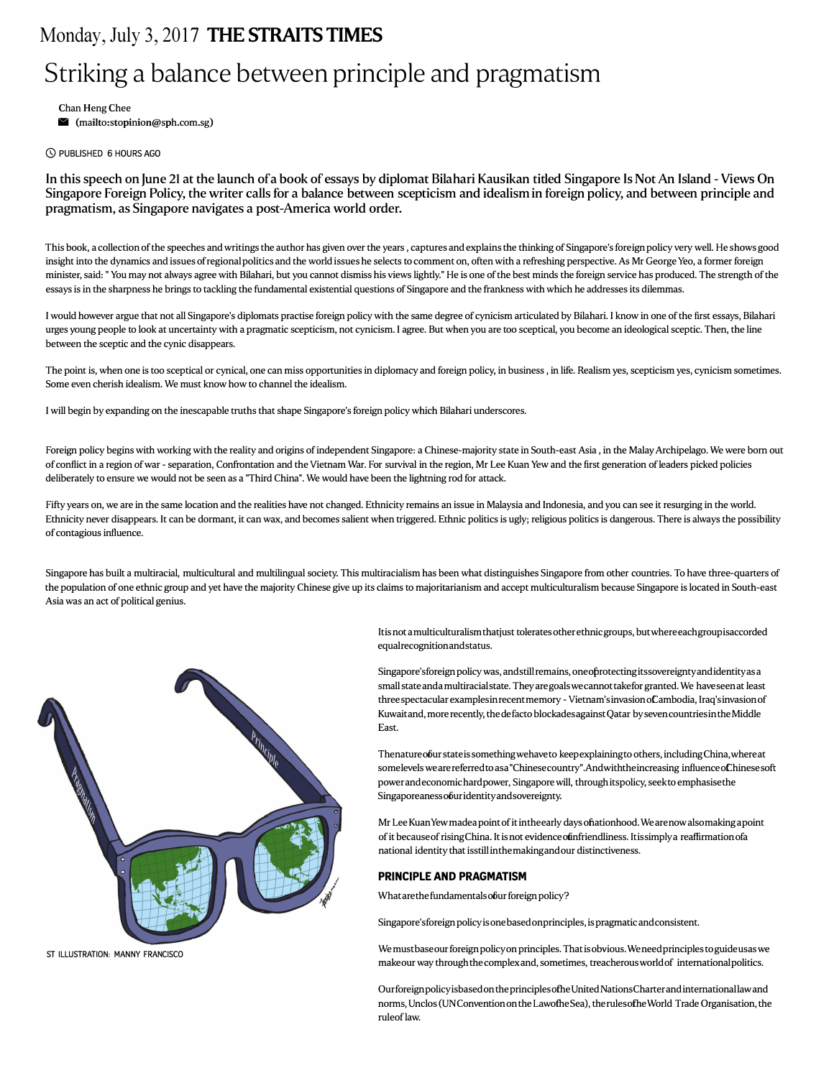## Monday, July 3, 2017 THE STRAITS TIMES

## Striking a balance between principle and pragmatism

Chan Heng Chee

 $\blacksquare$  (mailto:stopinion@sph.com.sg)

(5) PUBLISHED 6 HOURS AGO

In this speech on June 21 at the launch of a book of essays by diplomat Bilahari Kausikan titled Singapore Is Not An Island - Views On Singapore Foreign Policy, the writer calls for a balance between scepticism and idealismin foreign policy, and between principle and pragmatism, as Singapore navigates a post-America world order.

This book, a collection of the speeches and writings the author has given over the years , captures and explains the thinking of Singapore's foreign policy very well. He shows good insight into the dynamics and issues of regional politics and the world issues he selects to comment on, often with a refreshing perspective.As Mr George Yeo, a former foreign minister, said:" You may not always agree with Bilahari, but you cannot dismiss his views lightly." He is one of the best minds the foreign service has produced. The strength of the essays isin the sharpness he brings to tackling the fundamental existential questions of Singapore and the frankness with which he addresses its dilemmas.

I would however argue that not all Singapore's diplomats practise foreign policy with the same degree of cynicism articulated by Bilahari. I know in one of the first essays, Bilahari urges young people to look at uncertainty with a pragmatic scepticism, not cynicism. I agree. But when you are too sceptical, you become an ideological sceptic. Then, the line between the sceptic and the cynic disappears.

The point is, when one is too sceptical or cynical, one can miss opportunities in diplomacy and foreign policy, in business, in life. Realism yes, scepticism yes, cynicism sometimes. Some even cherish idealism. We must know how to channel the idealism.

I will begin by expanding on the inescapable truths that shape Singapore's foreign policy which Bilahari underscores.

Foreign policy begins with working with the reality and origins of independent Singapore: a Chinese-majority state in South-east Asia , in the Malay Archipelago. We were born out of conflict in a region of war - separation, Confrontation and the Vietnam War. For survival in the region, Mr Lee Kuan Yew and the first generation ofleaders picked policies deliberately to ensure we would not be seen as a "Third China". We would have been the lightning rod for attack.

Fifty years on, we are in the same location and the realities have not changed. Ethnicity remains an issue in Malaysia and Indonesia, and you can see it resurging in the world. Ethnicity never disappears. It can be dormant, it can wax, and becomes salient when triggered. Ethnic politics is ugly; religious politics is dangerous. There is always the possibility of contagious influence.

Singapore has built a multiracial, multicultural and multilingual society. This multiracialism has been what distinguishes Singapore from other countries. To have three-quarters of the population of one ethnic group and yet have the majority Chinese give up its claims to majoritarianism and accept multiculturalism because Singapore is located in South-east Asia was an act of political genius.



ST ILLUSTRATION: MANNY FRANCISCO

Itis not a multiculturalism that just tolerates other ethnic groups, but where each groupisaccorded equalrecognitionandstatus.

Singapore'sforeign policy was, andstill remains, one of rotecting its sovereignty and identity as a small state anda multiracial state. They are goals we cannot takefor granted. We have seen at least threespectacular examplesinrecent memory- Vietnam'sinvasion ofCambodia, Iraq'sinvasionof Kuwaitand, more recently, thedefacto blockadesagainstQatar bysevencountriesintheMiddle East.

Thenature obur state is something wehaveto keep explaining to others, including China, where at somelevels wearereferredto as a "Chinesecountry".Andwiththeincreasing influence of Chinese soft power andeconomichardpower, Singapore will, through itspolicy, seekto emphasisethe Singaporeaness of uridentity and sovereignty.

Mr Lee Kuan Yew madea point of it intheearly days ofiationhood. We arenow alsomaking a point of it because of rising China. It is not evidence of infriendliness. It is simply a reaffirmation of a national identity that isstill inthemakingandour distinctiveness.

## **PRINCIPLE AND PRAGMATISM**

What are the fundamentals obur foreign policy?

Singapore'sforeign policyisonebasedonprinciples, ispragmaticandconsistent.

We must base our foreign policy on principles. That is obvious. We need principles to guide usas we makeour way through the complex and, sometimes, treacherous world of international politics.

OurforeignpolicyisbasedontheprinciplesoftheUnitedNationsCharterandinternationallawand norms, Unclos (UNConvention on the Lawofhe Sea), the rules of he World Trade Organisation, the ruleoflaw.